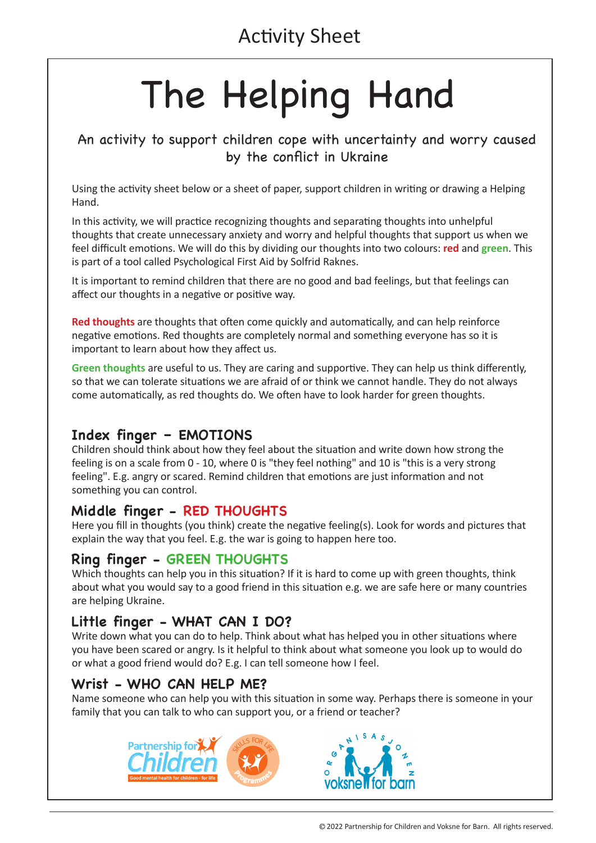# The Helping Hand

## An activity to support children cope with uncertainty and worry caused by the conflict in Ukraine

Using the activity sheet below or a sheet of paper, support children in writing or drawing a Helping Hand.

In this activity, we will practice recognizing thoughts and separating thoughts into unhelpful thoughts that create unnecessary anxiety and worry and helpful thoughts that support us when we feel difficult emotions. We will do this by dividing our thoughts into two colours: **red** and **green**. This is part of a tool called Psychological First Aid by Solfrid Raknes.

It is important to remind children that there are no good and bad feelings, but that feelings can affect our thoughts in a negative or positive way.

**Red thoughts** are thoughts that often come quickly and automatically, and can help reinforce negative emotions. Red thoughts are completely normal and something everyone has so it is important to learn about how they affect us.

**Green thoughts** are useful to us. They are caring and supportive. They can help us think differently, so that we can tolerate situations we are afraid of or think we cannot handle. They do not always come automatically, as red thoughts do. We often have to look harder for green thoughts.

### **Index finger – EMOTIONS**

Children should think about how they feel about the situation and write down how strong the feeling is on a scale from 0 - 10, where 0 is "they feel nothing" and 10 is "this is a very strong feeling". E.g. angry or scared. Remind children that emotions are just information and not something you can control.

### **Middle finger - RED THOUGHTS**

Here you fill in thoughts (you think) create the negative feeling(s). Look for words and pictures that explain the way that you feel. E.g. the war is going to happen here too.

### **Ring finger - GREEN THOUGHTS**

Which thoughts can help you in this situation? If it is hard to come up with green thoughts, think about what you would say to a good friend in this situation e.g. we are safe here or many countries are helping Ukraine.

### **Little finger - WHAT CAN I DO?**

Write down what you can do to help. Think about what has helped you in other situations where you have been scared or angry. Is it helpful to think about what someone you look up to would do or what a good friend would do? E.g. I can tell someone how I feel.

### **Wrist - WHO CAN HELP ME?**

Name someone who can help you with this situation in some way. Perhaps there is someone in your family that you can talk to who can support you, or a friend or teacher?